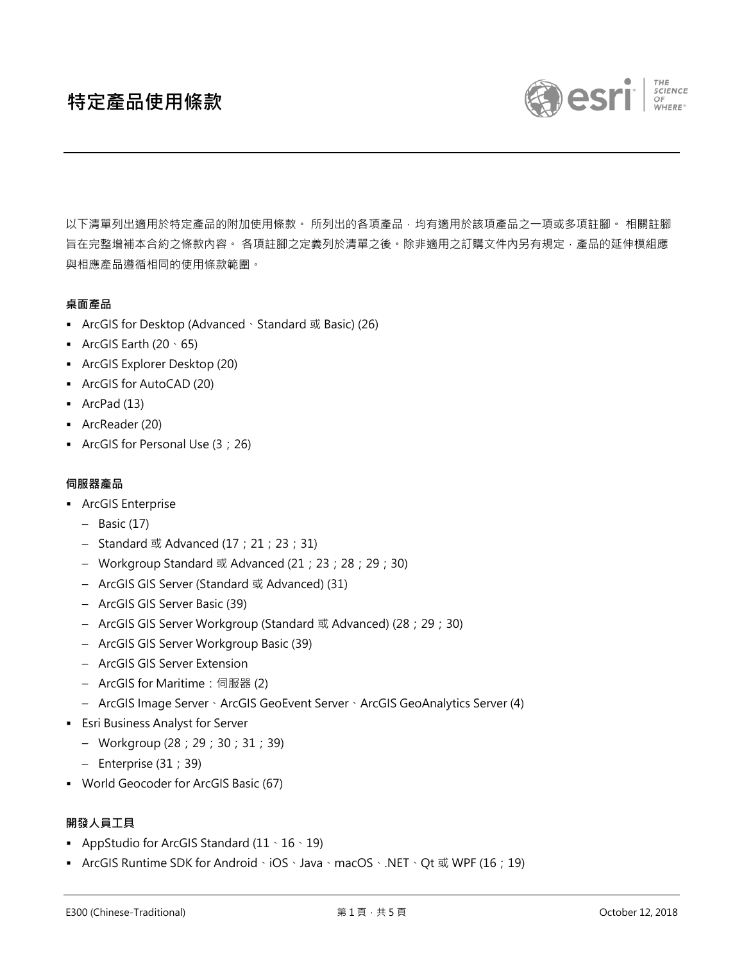

以下清單列出適用於特定產品的附加使用條款。 所列出的各項產品,均有適用於該項產品之一項或多項註腳。 相關註腳 旨在完整增補本合約之條款內容。 各項註腳之定義列於清單之後。除非適用之訂購文件內另有規定﹐產品的延伸模組應 與相應產品遵循相同的使用條款範圍。

## **桌面產品**

- ArcGIS for Desktop (Advanced、Standard 或 Basic) (26)
- **•** ArcGIS Earth  $(20 \cdot 65)$
- ArcGIS Explorer Desktop (20)
- ArcGIS for AutoCAD (20)
- ArcPad (13)
- ArcReader (20)
- ArcGIS for Personal Use (3;26)

### **伺服器產品**

- **•** ArcGIS Enterprise
	- Basic (17)
	- Standard 或 Advanced  $(17; 21; 23; 31)$
	- Workgroup Standard 或 Advanced (21;23;28;29;30)
	- ArcGIS GIS Server (Standard 或 Advanced) (31)
	- ArcGIS GIS Server Basic (39)
	- ArcGIS GIS Server Workgroup (Standard 或 Advanced) (28;29;30)
	- ArcGIS GIS Server Workgroup Basic (39)
	- ArcGIS GIS Server Extension
	- ArcGIS for Maritime: 伺服器 (2)
	- ArcGIS Image Server、ArcGIS GeoEvent Server、ArcGIS GeoAnalytics Server (4)
- **Esri Business Analyst for Server** 
	- Workgroup (28;29;30;31;39)
	- Enterprise (31;39)
- World Geocoder for ArcGIS Basic (67)

## **開發人員工具**

- **•** AppStudio for ArcGIS Standard  $(11 \cdot 16 \cdot 19)$
- ArcGIS Runtime SDK for Android、iOS、Java、macOS、.NET、Qt 或 WPF (16; 19)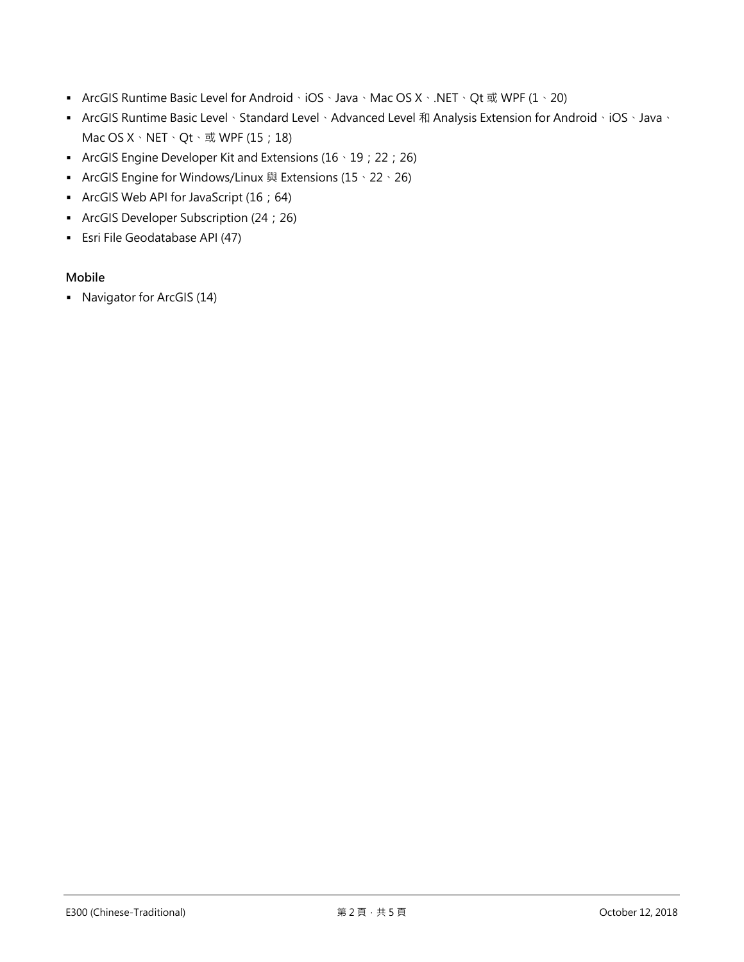- ArcGIS Runtime Basic Level for Android、iOS、Java、Mac OS X、.NET、Qt 或 WPF (1、20)
- ArcGIS Runtime Basic Level、Standard Level、Advanced Level 和 Analysis Extension for Android、iOS、Java、 Mac OS  $X \cdot$  NET  $\cdot$  Qt  $\cdot \times$  WPF (15;18)
- ArcGIS Engine Developer Kit and Extensions (16、19;22;26)
- ArcGIS Engine for Windows/Linux 與 Extensions  $(15 \cdot 22 \cdot 26)$
- ArcGIS Web API for JavaScript (16;64)
- ArcGIS Developer Subscription (24;26)
- **Esri File Geodatabase API (47)**

# **Mobile**

▪ Navigator for ArcGIS (14)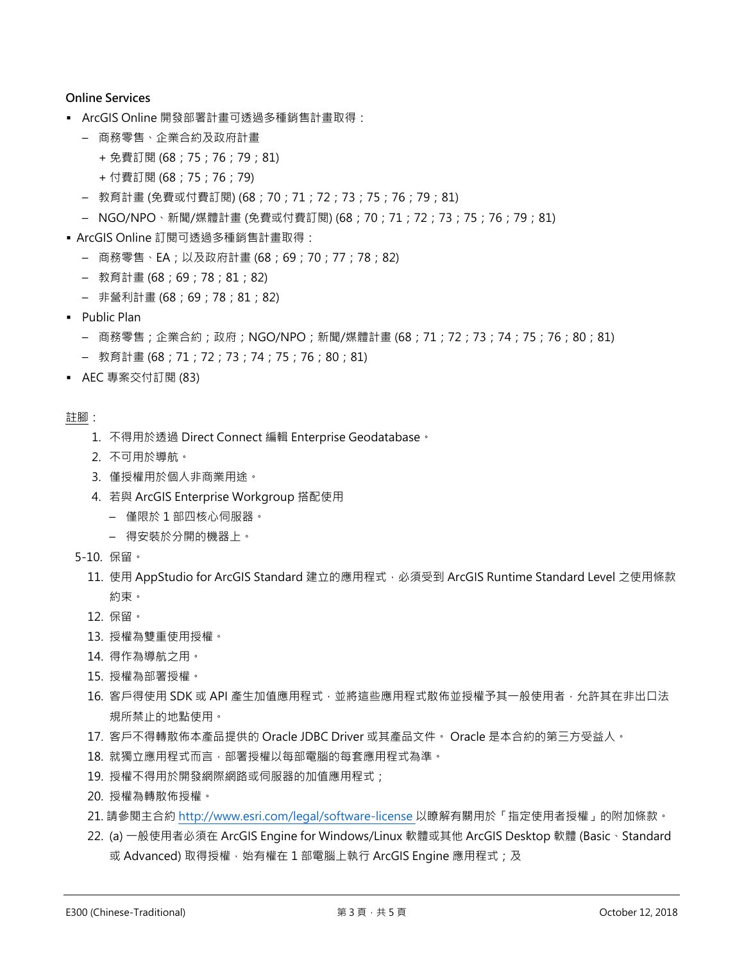### **Online Services**

- ArcGIS Online 開發部署計畫可透過多種銷售計畫取得:
	- 商務零售、企業合約及政府計畫
		- + 免費訂閱 (68;75;76;79;81)
		- + 付費訂閱 (68;75;76;79)
	- 教育計畫 (免費或付費訂閱) (68;70;71;72;73;75;76;79;81)
	- NGO/NPO、新聞/媒體計畫 (免費或付費訂閱) (68;70;71;72;73;75;76;79;81)
- ArcGIS Online 訂閱可透過多種銷售計畫取得:
	- 商務零售、EA;以及政府計畫 (68;69;70;77;78;82)
	- 教育計畫 (68;69;78;81;82)
	- 非營利計畫 (68;69;78;81;82)
- Public Plan
	- 商務零售;企業合約;政府;NGO/NPO;新聞/媒體計畫 (68;71;72;73;74;75;76;80;81)
	- 教育計畫 (68;71;72;73;74;75;76;80;81)
- AEC 專案交付訂閱 (83)

#### 註腳:

- 1. 不得用於透過 Direct Connect 編輯 Enterprise Geodatabase。
- 2. 不可用於導航。
- 3. 僅授權用於個人非商業用途。
- 4. 若與 ArcGIS Enterprise Workgroup 搭配使用
	- 僅限於 1 部四核心伺服器。
	- 得安裝於分開的機器上。
- 5-10. 保留。
	- 11. 使用 AppStudio for ArcGIS Standard 建立的應用程式, 必須受到 ArcGIS Runtime Standard Level 之使用條款 約束。
	- 12. 保留。
	- 13. 授權為雙重使用授權。
	- 14. 得作為導航之用。
	- 15. 授權為部署授權。
	- 16. 客戶得使用 SDK 或 API 產生加值應用程式,並將這些應用程式散佈並授權予其一般使用者,允許其在非出口法 規所禁止的地點使用。
	- 17. 客戶不得轉散佈本產品提供的 Oracle JDBC Driver 或其產品文件。 Oracle 是本合約的第三方受益人。
	- 18. 就獨立應用程式而言,部署授權以每部電腦的每套應用程式為準。
	- 19. 授權不得用於開發網際網路或伺服器的加值應用程式;
	- 20. 授權為轉散佈授權。
	- 21. 請參閱主合約 <http://www.esri.com/legal/software-license> 以瞭解有關用於「指定使用者授權」的附加條款。
	- 22. (a) 一般使用者必須在 ArcGIS Engine for Windows/Linux 軟體或其他 ArcGIS Desktop 軟體 (Basic、Standard 或 Advanced) 取得授權, 始有權在 1 部電腦上執行 ArcGIS Engine 應用程式; 及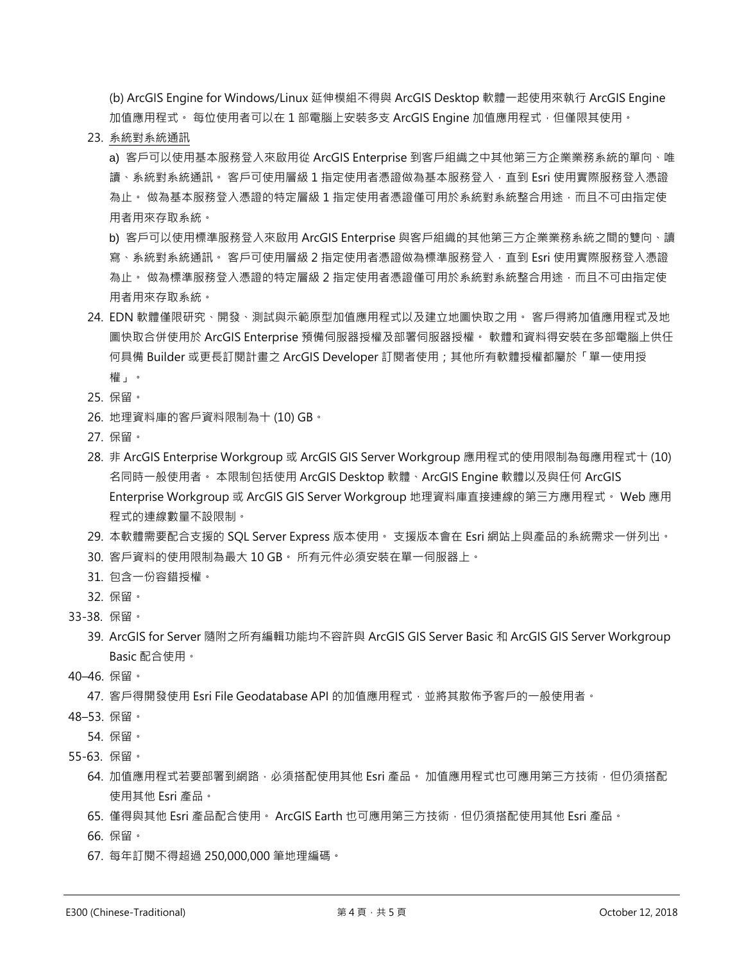(b) ArcGIS Engine for Windows/Linux 延伸模組不得與 ArcGIS Desktop 軟體一起使用來執行 ArcGIS Engine 加值應用程式。 每位使用者可以在 1 部電腦上安裝多支 ArcGIS Engine 加值應用程式,但僅限其使用。

23. 系統對系統通訊

a) 客戶可以使用基本服務登入來啟用從 ArcGIS Enterprise 到客戶組織之中其他第三方企業業務系統的單向、唯 讀、系統對系統通訊。 客戶可使用層級 1 指定使用者憑證做為基本服務登入,直到 Esri 使用實際服務登入憑證 為止。 做為基本服務登入憑證的特定層級 1 指定使用者憑證僅可用於系統對系統整合用途,而且不可由指定使 用者用來存取系統。

b) 客戶可以使用標準服務登入來啟用 ArcGIS Enterprise 與客戶組織的其他第三方企業業務系統之間的雙向、讀 寫、系統對系統通訊。 客戶可使用層級 2 指定使用者憑證做為標準服務登入,直到 Esri 使用實際服務登入憑證 為止。 做為標準服務登入憑證的特定層級 2 指定使用者憑證僅可用於系統對系統整合用途,而且不可由指定使 用者用來存取系統。

- 24. EDN 軟體僅限研究、開發、測試與示範原型加值應用程式以及建立地圖快取之用。 客戶得將加值應用程式及地 圖快取合併使用於 ArcGIS Enterprise 預備伺服器授權及部署伺服器授權。 軟體和資料得安裝在多部電腦上供任 何具備 Builder 或更長訂閱計畫之 ArcGIS Developer 訂閱者使用;其他所有軟體授權都屬於「單一使用授 權」。
- 25. 保留。
- 26. 地理資料庫的客戶資料限制為十 (10) GB。
- 27. 保留。
- 28. 非 ArcGIS Enterprise Workgroup 或 ArcGIS GIS Server Workgroup 應用程式的使用限制為每應用程式十 (10) 名同時一般使用者。 本限制包括使用 ArcGIS Desktop 軟體、ArcGIS Engine 軟體以及與任何 ArcGIS Enterprise Workgroup 或 ArcGIS GIS Server Workgroup 地理資料庫直接連線的第三方應用程式。 Web 應用 程式的連線數量不設限制。
- 29. 本軟體需要配合支援的 SQL Server Express 版本使用。 支援版本會在 Esri 網站上與產品的系統需求一併列出。
- 30. 客戶資料的使用限制為最大 10 GB。 所有元件必須安裝在單一伺服器上。
- 31. 包含一份容錯授權。
- 32. 保留。
- 33-38. 保留。
	- 39. ArcGIS for Server 隨附之所有編輯功能均不容許與 ArcGIS GIS Server Basic 和 ArcGIS GIS Server Workgroup Basic 配合使用。
- 40–46. 保留。

47. 客戶得開發使用 Esri File Geodatabase API 的加值應用程式, 並將其散佈予客戶的一般使用者。

- 48–53. 保留。
	- 54. 保留。
- 55-63. 保留。
	- 64. 加值應用程式若要部署到網路,必須搭配使用其他 Esri 產品。 加值應用程式也可應用第三方技術, 但仍須搭配 使用其他 Esri 產品。
	- 65. 僅得與其他 Esri 產品配合使用。 ArcGIS Earth 也可應用第三方技術,但仍須搭配使用其他 Esri 產品。
	- 66. 保留。
	- 67. 每年訂閱不得超過 250,000,000 筆地理編碼。